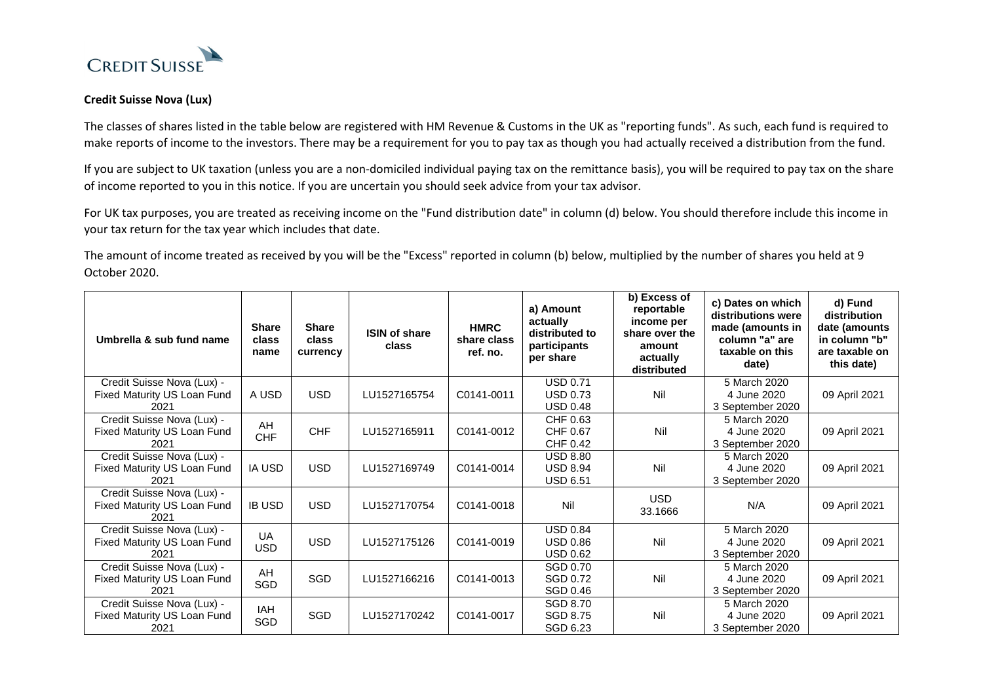

## **Credit Suisse Nova (Lux)**

The classes of shares listed in the table below are registered with HM Revenue & Customs in the UK as "reporting funds". As such, each fund is required to make reports of income to the investors. There may be a requirement for you to pay tax as though you had actually received a distribution from the fund.

If you are subject to UK taxation (unless you are a non-domiciled individual paying tax on the remittance basis), you will be required to pay tax on the share of income reported to you in this notice. If you are uncertain you should seek advice from your tax advisor.

For UK tax purposes, you are treated as receiving income on the "Fund distribution date" in column (d) below. You should therefore include this income in your tax return for the tax year which includes that date.

The amount of income treated as received by you will be the "Excess" reported in column (b) below, multiplied by the number of shares you held at 9 October 2020.

| Umbrella & sub fund name                                          | <b>Share</b><br>class<br>name | <b>Share</b><br>class<br>currency | <b>ISIN of share</b><br>class | <b>HMRC</b><br>share class<br>ref. no. | a) Amount<br>actually<br>distributed to<br>participants<br>per share | $\overline{b}$ Excess of<br>reportable<br>income per<br>share over the<br>amount<br>actually<br>distributed | c) Dates on which<br>distributions were<br>made (amounts in<br>column "a" are<br>taxable on this<br>date) | d) Fund<br>distribution<br>date (amounts<br>in column "b"<br>are taxable on<br>this date) |
|-------------------------------------------------------------------|-------------------------------|-----------------------------------|-------------------------------|----------------------------------------|----------------------------------------------------------------------|-------------------------------------------------------------------------------------------------------------|-----------------------------------------------------------------------------------------------------------|-------------------------------------------------------------------------------------------|
| Credit Suisse Nova (Lux) -<br>Fixed Maturity US Loan Fund<br>2021 | A USD                         | <b>USD</b>                        | LU1527165754                  | C0141-0011                             | <b>USD 0.71</b><br><b>USD 0.73</b><br><b>USD 0.48</b>                | Nil                                                                                                         | 5 March 2020<br>4 June 2020<br>3 September 2020                                                           | 09 April 2021                                                                             |
| Credit Suisse Nova (Lux) -<br>Fixed Maturity US Loan Fund<br>2021 | AH<br><b>CHF</b>              | <b>CHF</b>                        | LU1527165911                  | C0141-0012                             | CHF 0.63<br>CHF 0.67<br>CHF 0.42                                     | Nil                                                                                                         | 5 March 2020<br>4 June 2020<br>3 September 2020                                                           | 09 April 2021                                                                             |
| Credit Suisse Nova (Lux) -<br>Fixed Maturity US Loan Fund<br>2021 | <b>IA USD</b>                 | <b>USD</b>                        | LU1527169749                  | C0141-0014                             | <b>USD 8.80</b><br><b>USD 8.94</b><br><b>USD 6.51</b>                | Nil                                                                                                         | 5 March 2020<br>4 June 2020<br>3 September 2020                                                           | 09 April 2021                                                                             |
| Credit Suisse Nova (Lux) -<br>Fixed Maturity US Loan Fund<br>2021 | <b>IB USD</b>                 | <b>USD</b>                        | LU1527170754                  | C0141-0018                             | Nil                                                                  | <b>USD</b><br>33.1666                                                                                       | N/A                                                                                                       | 09 April 2021                                                                             |
| Credit Suisse Nova (Lux) -<br>Fixed Maturity US Loan Fund<br>2021 | <b>UA</b><br><b>USD</b>       | <b>USD</b>                        | LU1527175126                  | C0141-0019                             | <b>USD 0.84</b><br><b>USD 0.86</b><br><b>USD 0.62</b>                | Nil                                                                                                         | 5 March 2020<br>4 June 2020<br>3 September 2020                                                           | 09 April 2021                                                                             |
| Credit Suisse Nova (Lux) -<br>Fixed Maturity US Loan Fund<br>2021 | AH<br>SGD                     | <b>SGD</b>                        | LU1527166216                  | C0141-0013                             | SGD 0.70<br>SGD 0.72<br>SGD 0.46                                     | Nil                                                                                                         | 5 March 2020<br>4 June 2020<br>3 September 2020                                                           | 09 April 2021                                                                             |
| Credit Suisse Nova (Lux) -<br>Fixed Maturity US Loan Fund<br>2021 | IAH<br>SGD                    | <b>SGD</b>                        | LU1527170242                  | C0141-0017                             | SGD 8.70<br>SGD 8.75<br>SGD 6.23                                     | Nil                                                                                                         | 5 March 2020<br>4 June 2020<br>3 September 2020                                                           | 09 April 2021                                                                             |